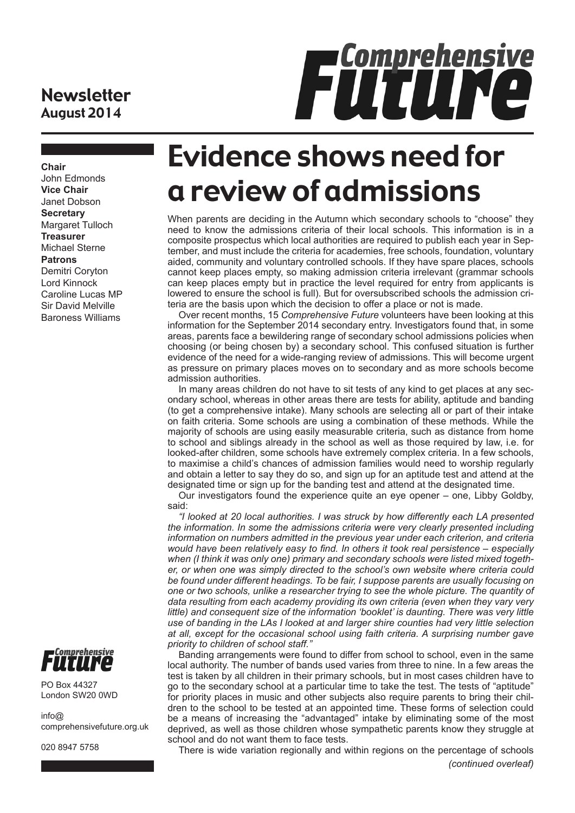#### **Newsletter** August 2014

# FÜTUNG

**Chair** John Edmonds **Vice Chair** Janet Dobson **Secretary** Margaret Tulloch **Treasurer** Michael Sterne **Patrons** Demitri Coryton Lord Kinnock Caroline Lucas MP Sir David Melville Baroness Williams



PO Box 44327 London SW20 0WD

 $info@$ comprehensivefuture.org.uk

020 8947 5758

# Evidence shows need for a review of admissions

When parents are deciding in the Autumn which secondary schools to "choose" they need to know the admissions criteria of their local schools. This information is in a composite prospectus which local authorities are required to publish each year in September, and must include the criteria for academies, free schools, foundation, voluntary aided, community and voluntary controlled schools. If they have spare places, schools cannot keep places empty, so making admission criteria irrelevant (grammar schools can keep places empty but in practice the level required for entry from applicants is lowered to ensure the school is full). But for oversubscribed schools the admission criteria are the basis upon which the decision to offer a place or not is made.

Over recent months, 15 *Comprehensive Future* volunteers have been looking at this information for the September 2014 secondary entry. Investigators found that, in some areas, parents face a bewildering range of secondary school admissions policies when choosing (or being chosen by) a secondary school. This confused situation is further evidence of the need for a wide-ranging review of admissions. This will become urgent as pressure on primary places moves on to secondary and as more schools become admission authorities.

In many areas children do not have to sit tests of any kind to get places at any secondary school, whereas in other areas there are tests for ability, aptitude and banding (to get a comprehensive intake). Many schools are selecting all or part of their intake on faith criteria. Some schools are using a combination of these methods. While the majority of schools are using easily measurable criteria, such as distance from home to school and siblings already in the school as well as those required by law, i.e. for looked-after children, some schools have extremely complex criteria. In a few schools, to maximise a child's chances of admission families would need to worship regularly and obtain a letter to say they do so, and sign up for an aptitude test and attend at the designated time or sign up for the banding test and attend at the designated time.

Our investigators found the experience quite an eye opener – one, Libby Goldby, said:

*"I looked at 20 local authorities. I was struck by how differently each LA presented the information. In some the admissions criteria were very clearly presented including information on numbers admitted in the previous year under each criterion, and criteria would have been relatively easy to find. In others it took real persistence – especially when (I think it was only one) primary and secondary schools were listed mixed together, or when one was simply directed to the school's own website where criteria could be found under different headings. To be fair, I suppose parents are usually focusing on one or two schools, unlike a researcher trying to see the whole picture. The quantity of data resulting from each academy providing its own criteria (even when they vary very*  little) and consequent size of the information 'booklet' is daunting. There was very little *use of banding in the LAs I looked at and larger shire counties had very little selection at all, except for the occasional school using faith criteria. A surprising number gave priority to children of school staff."*

Banding arrangements were found to differ from school to school, even in the same local authority. The number of bands used varies from three to nine. In a few areas the test is taken by all children in their primary schools, but in most cases children have to go to the secondary school at a particular time to take the test. The tests of "aptitude" for priority places in music and other subjects also require parents to bring their children to the school to be tested at an appointed time. These forms of selection could be a means of increasing the "advantaged" intake by eliminating some of the most deprived, as well as those children whose sympathetic parents know they struggle at school and do not want them to face tests.

There is wide variation regionally and within regions on the percentage of schools *(continued overleaf)*